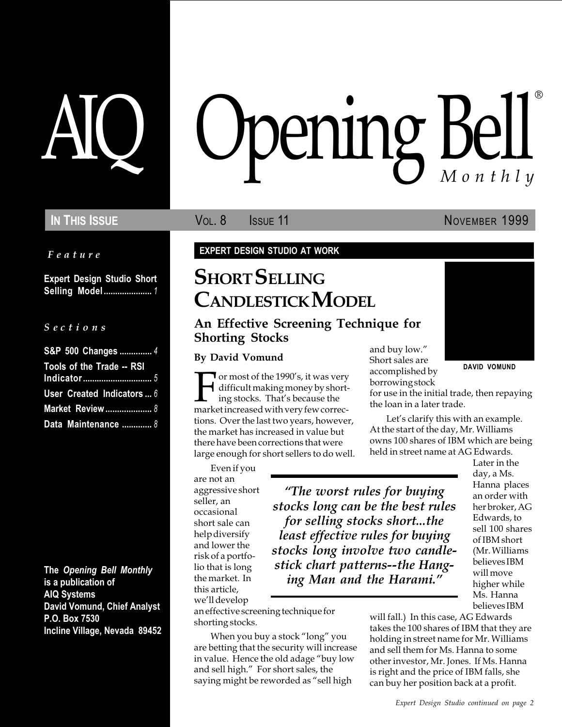Feature

Expert Design Studio Short Selling Model ..................... 1

#### S e c t i o n s

| S&P 500 Changes  4         |  |
|----------------------------|--|
| Tools of the Trade -- RSI  |  |
|                            |  |
| User Created Indicators  6 |  |
| <b>Market Review  8</b>    |  |
| Data Maintenance  8        |  |

The Opening Bell Monthly is a publication of AIQ Systems David Vomund, Chief Analyst P.O. Box 7530 Incline Village, Nevada 89452

# pening Bell ®

In This Issue **Vol. 8** Issue 11 November 1999

DAVID VOMUND

EXPERT DESIGN STUDIO AT WORK

## **SHORT SELLING** CANDLESTICK MODEL

### An Effective Screening Technique for Shorting Stocks

For most of the 1990's, it was very<br>difficult making money by short-<br>ing stocks. That's because the<br>market increased with very few correcdifficult making money by shorting stocks. That's because the market increased with very few corrections. Over the last two years, however, the market has increased in value but there have been corrections that were large enough for short sellers to do well.

Even if you are not an aggressive short seller, an occasional short sale can help diversify and lower the risk of a portfolio that is long the market. In this article, we'll develop

an effective screening technique for shorting stocks.

When you buy a stock "long" you are betting that the security will increase in value. Hence the old adage "buy low and sell high." For short sales, the saying might be reworded as "sell high

By David Vomund<br>Short sales are Short sales are accomplished by borrowing stock

for use in the initial trade, then repaying the loan in a later trade.

Let's clarify this with an example. At the start of the day, Mr. Williams owns 100 shares of IBM which are being held in street name at AG Edwards.

The worst rules for buying stocks long can be the best rules for selling stocks short...the least effective rules for buying stocks long involve two candlestick chart patterns--the Hanging Man and the Harami.

Later in the day, a Ms. Hanna places an order with her broker, AG Edwards, to sell 100 shares of IBM short (Mr. Williams believes IBM will move higher while Ms. Hanna believes IBM

will fall.) In this case, AG Edwards takes the 100 shares of IBM that they are holding in street name for Mr. Williams and sell them for Ms. Hanna to some other investor, Mr. Jones. If Ms. Hanna is right and the price of IBM falls, she can buy her position back at a profit.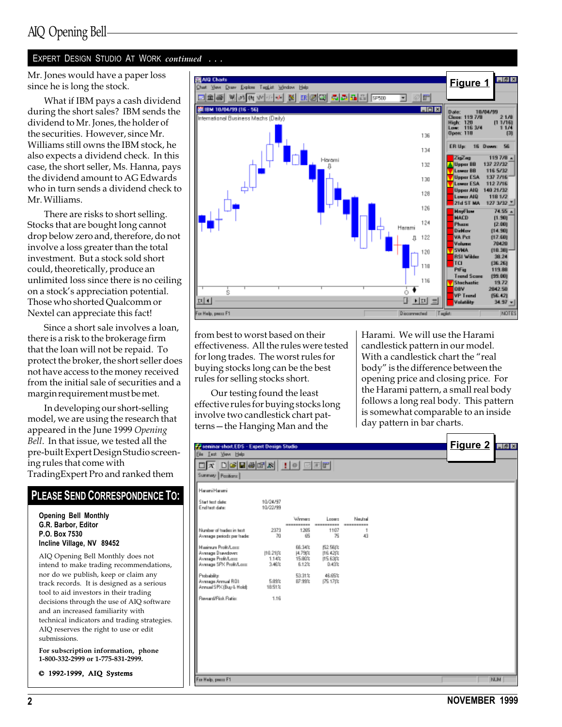## AIQ Opening Bell

#### EXPERT DESIGN STUDIO AT WORK continued . . .

Mr. Jones would have a paper loss since he is long the stock.

What if IBM pays a cash dividend during the short sales? IBM sends the dividend to Mr. Jones, the holder of the securities. However, since Mr. Williams still owns the IBM stock, he also expects a dividend check. In this case, the short seller, Ms. Hanna, pays the dividend amount to AG Edwards who in turn sends a dividend check to Mr. Williams.

There are risks to short selling. Stocks that are bought long cannot drop below zero and, therefore, do not involve a loss greater than the total investment. But a stock sold short could, theoretically, produce an unlimited loss since there is no ceiling on a stock's appreciation potential. Those who shorted Qualcomm or Nextel can appreciate this fact!

Since a short sale involves a loan, there is a risk to the brokerage firm that the loan will not be repaid. To protect the broker, the short seller does not have access to the money received from the initial sale of securities and a margin requirement must be met.

In developing our short-selling model, we are using the research that appeared in the June 1999 Opening Bell. In that issue, we tested all the pre-built Expert Design Studio screening rules that come with TradingExpert Pro and ranked them

#### PLEASE SEND CORRESPONDENCE TO:

Opening Bell Monthly G.R. Barbor, Editor P.O. Box 7530 Incline Village, NV 89452

AIQ Opening Bell Monthly does not intend to make trading recommendations, nor do we publish, keep or claim any track records. It is designed as a serious tool to aid investors in their trading decisions through the use of AIQ software and an increased familiarity with technical indicators and trading strategies. AIQ reserves the right to use or edit submissions.

For subscription information, phone 1-800-332-2999 or 1-775-831-2999.

© 1992-1999, AIQ Systems



from best to worst based on their effectiveness. All the rules were tested for long trades. The worst rules for buying stocks long can be the best rules for selling stocks short.

Our testing found the least effective rules for buying stocks long involve two candlestick chart patterns – the Hanging Man and the

Harami. We will use the Harami candlestick pattern in our model. With a candlestick chart the "real body" is the difference between the opening price and closing price. For the Harami pattern, a small real body follows a long real body. This pattern is somewhat comparable to an inside day pattern in bar charts.

| Seminar-short.EDS - Expert Design Studio                                                    |                            |                                              |                                                 |                       |  | Figure 2 | HZX        |
|---------------------------------------------------------------------------------------------|----------------------------|----------------------------------------------|-------------------------------------------------|-----------------------|--|----------|------------|
| Ele Lest Yown Help                                                                          |                            |                                              |                                                 |                       |  |          |            |
| <u>deers : 10 dee</u><br>$\Box$ $\mathbf{x}$                                                |                            |                                              |                                                 |                       |  |          |            |
| Summary Pasitions                                                                           |                            |                                              |                                                 |                       |  |          |            |
| Harami Harami                                                                               |                            |                                              |                                                 |                       |  |          |            |
| Start text date:<br>End test date:                                                          | 10/24/97<br>10/22/99       |                                              |                                                 |                       |  |          |            |
|                                                                                             |                            | Winner                                       | Loogra                                          | Neutral               |  |          |            |
| Number of trades in test.<br>Average periods per trade:                                     | 2373<br>70                 | ----------<br>1265<br>65                     | -------<br><br>1107<br>75                       | ----------<br>1<br>43 |  |          |            |
| Maginum Profit/Long<br>Average Drawdown:<br>Average Profit/Lass:<br>Avesage SPX Profit/Lasa | 110.211%<br>1.14%<br>3,46% | 88.34%<br><b>14.79(%)</b><br>15.80%<br>6.12% | <b>E2.56(%</b><br>116.421%<br>115.63(%<br>0.43% |                       |  |          |            |
| Probability:<br>Avenage Armual ROE<br>Annual SPK (Buy & Hold):                              | 5.89%<br>18.51%            | 53.31%<br>87.99%                             | 46.65%<br><b>I75.17比</b>                        |                       |  |          |            |
| Reward/Pink Ratio:                                                                          | 1.16                       |                                              |                                                 |                       |  |          |            |
|                                                                                             |                            |                                              |                                                 |                       |  |          |            |
|                                                                                             |                            |                                              |                                                 |                       |  |          |            |
|                                                                                             |                            |                                              |                                                 |                       |  |          |            |
|                                                                                             |                            |                                              |                                                 |                       |  |          |            |
|                                                                                             |                            |                                              |                                                 |                       |  |          |            |
|                                                                                             |                            |                                              |                                                 |                       |  |          |            |
| For Help, peace F1                                                                          |                            |                                              |                                                 |                       |  |          | <b>NUM</b> |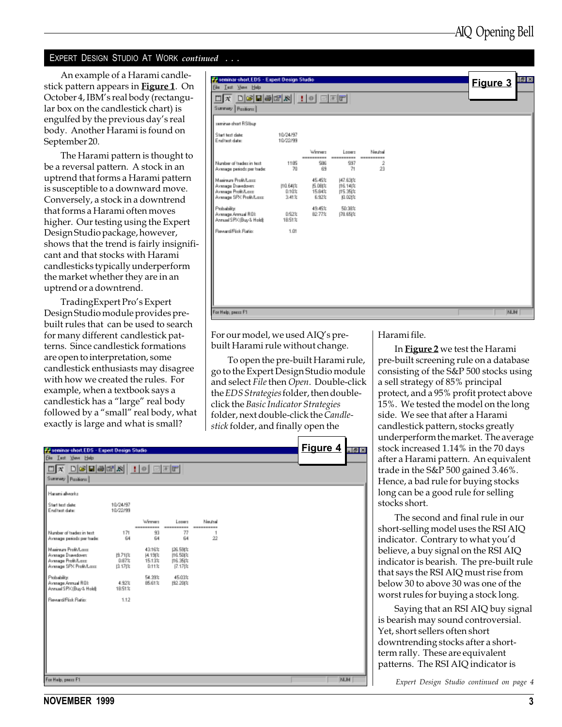#### EXPERT DESIGN STUDIO AT WORK *continued* ...

An example of a Harami candlestick pattern appears in **Figure 1**. On October 4, IBM's real body (rectangular box on the candlestick chart) is engulfed by the previous day's real body. Another Harami is found on September 20.

The Harami pattern is thought to be a reversal pattern. A stock in an uptrend that forms a Harami pattern is susceptible to a downward move. Conversely, a stock in a downtrend that forms a Harami often moves higher. Our testing using the Expert Design Studio package, however, shows that the trend is fairly insignificant and that stocks with Harami candlesticks typically underperform the market whether they are in an uptrend or a downtrend.

TradingExpert Pro's Expert Design Studio module provides prebuilt rules that can be used to search for many different candlestick patterns. Since candlestick formations are open to interpretation, some candlestick enthusiasts may disagree with how we created the rules. For example, when a textbook says a candlestick has a "large" real body followed by a "small" real body, what exactly is large and what is small?

| seminar-short.EDS - Expert Design Studio<br>Ele Lest Your Help                             |                            |                                  |                                            |                       |  | Figure 3   | $\left  \theta \right $ x |
|--------------------------------------------------------------------------------------------|----------------------------|----------------------------------|--------------------------------------------|-----------------------|--|------------|---------------------------|
| <u>deems : 0 000</u><br>$\Box$ $\pi$<br>Summary Pasitions                                  |                            |                                  |                                            |                       |  |            |                           |
| suminar-chart RSI buy                                                                      |                            |                                  |                                            |                       |  |            |                           |
| Start text date:<br>End test date:                                                         | 10/24/97<br>10/22/99       |                                  |                                            |                       |  |            |                           |
|                                                                                            |                            | Winner                           | Longro                                     | Neutral<br>---------- |  |            |                           |
| Number of tradez in text.<br>Average periods per trade:                                    | 1185<br>70                 | 586<br>69                        | 997<br>71                                  | 2<br>23               |  |            |                           |
| Mainun ProBA out<br>Avesage Dsavidover:<br>Average Profit/Lass<br>Average SPX Profit/Lass: | [10.64)%<br>0.10%<br>3.41% | 45.46%<br>压0时<br>15.84%<br>6.92% | 147.63(%<br>16.14 %<br>115.35(%<br>(0.02t% |                       |  |            |                           |
| Probability:<br>Avenage Armual ROL<br>Annual SPK (Buy & Hold):                             | 0.52%<br>18.51%            | 49.45%<br>82.77%                 | 50.38%<br>(78.65)%                         |                       |  |            |                           |
| Reward/Fisk Ratio:                                                                         | 1.01                       |                                  |                                            |                       |  |            |                           |
|                                                                                            |                            |                                  |                                            |                       |  |            |                           |
|                                                                                            |                            |                                  |                                            |                       |  |            |                           |
|                                                                                            |                            |                                  |                                            |                       |  |            |                           |
|                                                                                            |                            |                                  |                                            |                       |  |            |                           |
| For Help, peace F1                                                                         |                            |                                  |                                            |                       |  | <b>NUM</b> |                           |

For our model, we used AIQ's prebuilt Harami rule without change.

To open the pre-built Harami rule, go to the Expert Design Studio module and select File then Open. Double-click the EDS Strategies folder, then doubleclick the Basic Indicator Strategies folder, next double-click the Candlestick folder, and finally open the

| Seminar-short.EDS - Expert Design Studio                                                   |                        |                                             |                                            |                                |  | Figure 4 | $-10x$     |
|--------------------------------------------------------------------------------------------|------------------------|---------------------------------------------|--------------------------------------------|--------------------------------|--|----------|------------|
| Ein Lest View Help                                                                         |                        |                                             |                                            |                                |  |          |            |
| $\Box$ x døhørs i døer                                                                     |                        |                                             |                                            |                                |  |          |            |
| Summary Pazitions                                                                          |                        |                                             |                                            |                                |  |          |            |
| Harani alvezko                                                                             |                        |                                             |                                            |                                |  |          |            |
| Start text date:<br>End test date:                                                         | 10/24/97<br>10/22/99   |                                             |                                            |                                |  |          |            |
|                                                                                            |                        | Weeker<br>----------                        | Longre<br>----------                       | <b>Next all</b><br>----------- |  |          |            |
| Number of tradec in text.<br>Average periods per trade:                                    | 171<br>64              | 93<br>64                                    | 77<br>64                                   | 1<br>22                        |  |          |            |
| Maginum Profit/Long<br>Average Drawdown<br>Avesage Profit/Lass<br>Average SPX Profit/Lass: | 性消化<br>0.87%<br>13.17比 | 43.16%<br><b>14.19 %</b><br>15.13%<br>0.11% | (26.59)%<br>116.50(%<br>116.35(%<br>17.17体 |                                |  |          |            |
| Probability:<br>Avenuge Armuel ROE<br>Annual SPK (Buy & Hold):                             | 4.92%<br>1851%         | 54.99%<br>85.61%                            | 45.03%<br>192, 2013                        |                                |  |          |            |
| Reveald Fisk Ratio:                                                                        | 1.12                   |                                             |                                            |                                |  |          |            |
|                                                                                            |                        |                                             |                                            |                                |  |          |            |
|                                                                                            |                        |                                             |                                            |                                |  |          |            |
|                                                                                            |                        |                                             |                                            |                                |  |          |            |
|                                                                                            |                        |                                             |                                            |                                |  |          |            |
|                                                                                            |                        |                                             |                                            |                                |  |          |            |
|                                                                                            |                        |                                             |                                            |                                |  |          |            |
| For Help, peace F1                                                                         |                        |                                             |                                            |                                |  |          | <b>NUM</b> |

Harami file.

In **Figure 2** we test the Harami pre-built screening rule on a database consisting of the S&P 500 stocks using a sell strategy of 85% principal protect, and a 95% profit protect above 15%. We tested the model on the long side. We see that after a Harami candlestick pattern, stocks greatly underperform the market. The average stock increased 1.14% in the 70 days after a Harami pattern. An equivalent trade in the S&P 500 gained 3.46%. Hence, a bad rule for buying stocks long can be a good rule for selling stocks short.

The second and final rule in our short-selling model uses the RSI AIQ indicator. Contrary to what you'd believe, a buy signal on the RSI AIQ indicator is bearish. The pre-built rule that says the RSI AIQ must rise from below 30 to above 30 was one of the worst rules for buying a stock long.

Saying that an RSI AIQ buy signal is bearish may sound controversial. Yet, short sellers often short downtrending stocks after a shortterm rally. These are equivalent patterns. The RSI AIQ indicator is

Expert Design Studio continued on page 4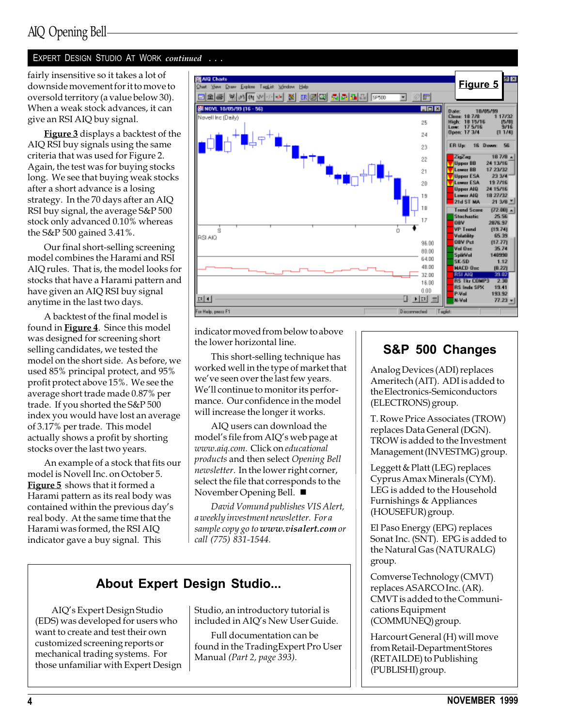## AIQ Opening Bell

#### EXPERT DESIGN STUDIO AT WORK continued . . .

oversold territory (a value below 30). When a weak stock advances, it can give an RSI AIQ buy signal.

**Figure 3** displays a backtest of the AIQ RSI buy signals using the same criteria that was used for Figure 2. Again, the test was for buying stocks long. We see that buying weak stocks after a short advance is a losing strategy. In the 70 days after an AIQ RSI buy signal, the average S&P 500 stock only advanced 0.10% whereas the S&P 500 gained 3.41%.

Our final short-selling screening model combines the Harami and RSI AIQ rules. That is, the model looks for stocks that have a Harami pattern and have given an AIQ RSI buy signal anytime in the last two days.

A backtest of the final model is found in **Figure 4**. Since this model was designed for screening short selling candidates, we tested the model on the short side. As before, we used 85% principal protect, and 95% profit protect above 15%. We see the average short trade made 0.87% per trade. If you shorted the S&P 500 index you would have lost an average of 3.17% per trade. This model actually shows a profit by shorting stocks over the last two years.

An example of a stock that fits our model is Novell Inc. on October 5. Figure 5 shows that it formed a Harami pattern as its real body was contained within the previous day's real body. At the same time that the Harami was formed, the RSI AIQ indicator gave a buy signal. This



indicator moved from below to above the lower horizontal line.

This short-selling technique has worked well in the type of market that we've seen over the last few years. We'll continue to monitor its performance. Our confidence in the model will increase the longer it works.

AIQ users can download the model's file from AIQ's web page at www.aiq.com. Click on educational products and then select Opening Bell newsletter. In the lower right corner, select the file that corresponds to the November Opening Bell.  $\blacksquare$ 

David Vomund publishes VIS Alert, a weekly investment newsletter. For a sample copy go to www.visalert.com or call (775) 831-1544.

## About Expert Design Studio...

AIQ's Expert Design Studio (EDS) was developed for users who want to create and test their own customized screening reports or mechanical trading systems. For those unfamiliar with Expert Design Studio, an introductory tutorial is included in AIQ's New User Guide.

Full documentation can be found in the TradingExpert Pro User Manual (Part 2, page 393).

## S&P 500 Changes

Analog Devices (ADI) replaces Ameritech (AIT). ADI is added to the Electronics-Semiconductors (ELECTRONS) group.

T. Rowe Price Associates (TROW) replaces Data General (DGN). TROW is added to the Investment Management (INVESTMG) group.

Leggett & Platt (LEG) replaces Cyprus Amax Minerals (CYM). LEG is added to the Household Furnishings & Appliances (HOUSEFUR) group.

El Paso Energy (EPG) replaces Sonat Inc. (SNT). EPG is added to the Natural Gas (NATURALG) group.

Comverse Technology (CMVT) replaces ASARCO Inc. (AR). CMVT is added to the Communications Equipment (COMMUNEQ) group.

Harcourt General (H) will move from Retail-Department Stores (RETAILDE) to Publishing (PUBLISHI) group.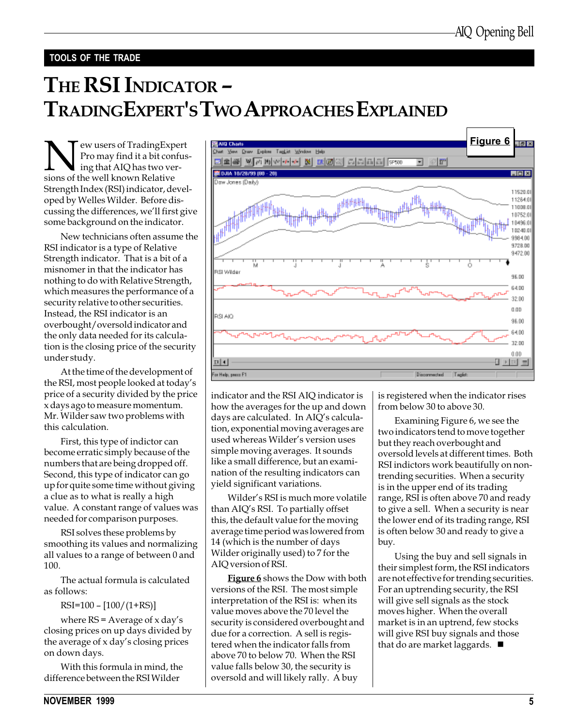#### TOOLS OF THE TRADE

# THE RSI INDICATOR -TRADINGEXPERT'S TWO APPROACHES EXPLAINED

New users of TradingExpert<br>Pro may find it a bit confus<br>ing that AIQ has two ver-<br>sions of the well known Relative Pro may find it a bit confusing that AIQ has two versions of the well known Relative Strength Index (RSI) indicator, developed by Welles Wilder. Before discussing the differences, we'll first give some background on the indicator.

New technicians often assume the RSI indicator is a type of Relative Strength indicator. That is a bit of a misnomer in that the indicator has nothing to do with Relative Strength, which measures the performance of a security relative to other securities. Instead, the RSI indicator is an overbought/oversold indicator and the only data needed for its calculation is the closing price of the security under study.

At the time of the development of the RSI, most people looked at today's price of a security divided by the price x days ago to measure momentum. Mr. Wilder saw two problems with this calculation.

First, this type of indictor can become erratic simply because of the numbers that are being dropped off. Second, this type of indicator can go up for quite some time without giving a clue as to what is really a high value. A constant range of values was needed for comparison purposes.

RSI solves these problems by smoothing its values and normalizing all values to a range of between 0 and 100.

The actual formula is calculated as follows:

 $RSI=100 - [100/(1+RS)]$ 

where  $RS = Average of x day's$ closing prices on up days divided by the average of  $x$  day's closing prices on down days.

With this formula in mind, the difference between the RSI Wilder



indicator and the RSI AIQ indicator is how the averages for the up and down days are calculated. In AIQ's calculation, exponential moving averages are used whereas Wilder's version uses simple moving averages. It sounds like a small difference, but an examination of the resulting indicators can yield significant variations.

Wilder's RSI is much more volatile than AIQ's RSI. To partially offset this, the default value for the moving average time period was lowered from 14 (which is the number of days Wilder originally used) to 7 for the AIQ version of RSI.

**Figure 6** shows the Dow with both versions of the RSI. The most simple interpretation of the RSI is: when its value moves above the 70 level the security is considered overbought and due for a correction. A sell is registered when the indicator falls from above 70 to below 70. When the RSI value falls below 30, the security is oversold and will likely rally. A buy

is registered when the indicator rises from below 30 to above 30.

Examining Figure 6, we see the two indicators tend to move together but they reach overbought and oversold levels at different times. Both RSI indictors work beautifully on nontrending securities. When a security is in the upper end of its trading range, RSI is often above 70 and ready to give a sell. When a security is near the lower end of its trading range, RSI is often below 30 and ready to give a buy.

Using the buy and sell signals in their simplest form, the RSI indicators are not effective for trending securities. For an uptrending security, the RSI will give sell signals as the stock moves higher. When the overall market is in an uptrend, few stocks will give RSI buy signals and those that do are market laggards.  $\blacksquare$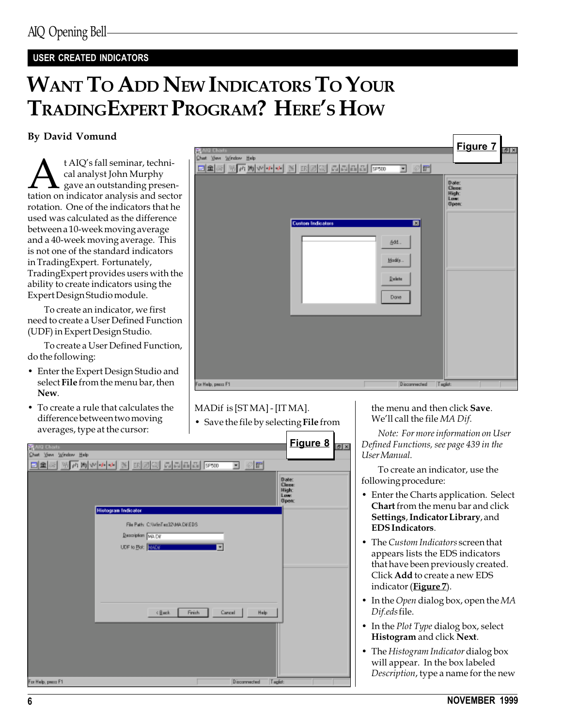### USER CREATED INDICATORS

# WANT TO ADD NEW INDICATORS TO YOUR TRADINGEXPERT PROGRAM? HERE'S HOW

#### By David Vomund

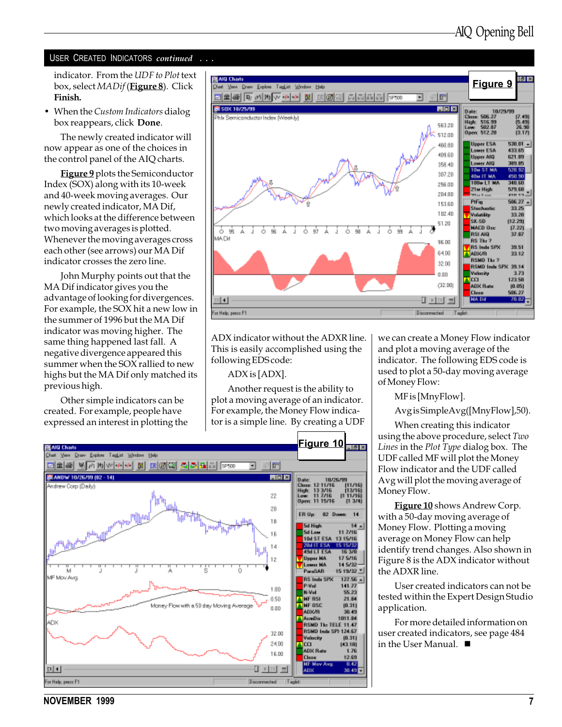#### USER CREATED INDICATORS continued ...

indicator. From the UDF to Plot text box, select MADif (Figure 8). Click Finish.

 When the Custom Indicators dialog box reappears, click Done.

The newly created indicator will now appear as one of the choices in the control panel of the AIQ charts.

Figure 9 plots the Semiconductor Index (SOX) along with its 10-week and 40-week moving averages. Our newly created indicator, MA Dif, which looks at the difference between two moving averages is plotted. Whenever the moving averages cross each other (see arrows) our MA Dif indicator crosses the zero line.

John Murphy points out that the MA Dif indicator gives you the advantage of looking for divergences. For example, the SOX hit a new low in the summer of 1996 but the MA Dif indicator was moving higher. The same thing happened last fall. A negative divergence appeared this summer when the SOX rallied to new highs but the MA Dif only matched its previous high.

Other simple indicators can be created. For example, people have expressed an interest in plotting the



ADX indicator without the ADXR line. This is easily accomplished using the following EDS code:

#### ADX is [ADX].

Another request is the ability to plot a moving average of an indicator. For example, the Money Flow indicator is a simple line. By creating a UDF we can create a Money Flow indicator and plot a moving average of the indicator. The following EDS code is used to plot a 50-day moving average of Money Flow:

MF is [MnyFlow].

Avg is SimpleAvg([MnyFlow],50).

When creating this indicator using the above procedure, select Two Lines in the Plot Type dialog box. The UDF called MF will plot the Money Flow indicator and the UDF called Avg will plot the moving average of Money Flow.

**Figure 10** shows Andrew Corp. with a 50-day moving average of Money Flow. Plotting a moving average on Money Flow can help identify trend changes. Also shown in Figure 8 is the ADX indicator without the ADXR line.

User created indicators can not be tested within the Expert Design Studio application.

For more detailed information on user created indicators, see page 484 in the User Manual.  $\blacksquare$ 



NOVEMBER 1999 7